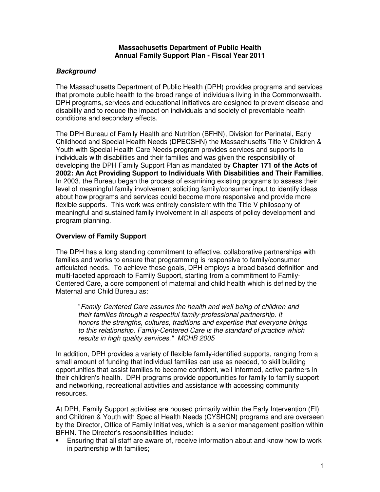#### **Massachusetts Department of Public Health Annual Family Support Plan - Fiscal Year 2011**

# **Background**

The Massachusetts Department of Public Health (DPH) provides programs and services that promote public health to the broad range of individuals living in the Commonwealth. DPH programs, services and educational initiatives are designed to prevent disease and disability and to reduce the impact on individuals and society of preventable health conditions and secondary effects.

The DPH Bureau of Family Health and Nutrition (BFHN), Division for Perinatal, Early Childhood and Special Health Needs (DPECSHN) the Massachusetts Title V Children & Youth with Special Health Care Needs program provides services and supports to individuals with disabilities and their families and was given the responsibility of developing the DPH Family Support Plan as mandated by **Chapter 171 of the Acts of 2002: An Act Providing Support to Individuals With Disabilities and Their Families**. In 2003, the Bureau began the process of examining existing programs to assess their level of meaningful family involvement soliciting family/consumer input to identify ideas about how programs and services could become more responsive and provide more flexible supports. This work was entirely consistent with the Title V philosophy of meaningful and sustained family involvement in all aspects of policy development and program planning.

# **Overview of Family Support**

The DPH has a long standing commitment to effective, collaborative partnerships with families and works to ensure that programming is responsive to family/consumer articulated needs. To achieve these goals, DPH employs a broad based definition and multi-faceted approach to Family Support, starting from a commitment to Family-Centered Care, a core component of maternal and child health which is defined by the Maternal and Child Bureau as:

 "Family-Centered Care assures the health and well-being of children and their families through a respectful family-professional partnership. It honors the strengths, cultures, traditions and expertise that everyone brings to this relationship. Family-Centered Care is the standard of practice which results in high quality services." MCHB 2005

In addition, DPH provides a variety of flexible family-identified supports, ranging from a small amount of funding that individual families can use as needed, to skill building opportunities that assist families to become confident, well-informed, active partners in their children's health. DPH programs provide opportunities for family to family support and networking, recreational activities and assistance with accessing community resources.

At DPH, Family Support activities are housed primarily within the Early Intervention (EI) and Children & Youth with Special Health Needs (CYSHCN) programs and are overseen by the Director, Office of Family Initiatives, which is a senior management position within BFHN. The Director's responsibilities include:

 Ensuring that all staff are aware of, receive information about and know how to work in partnership with families;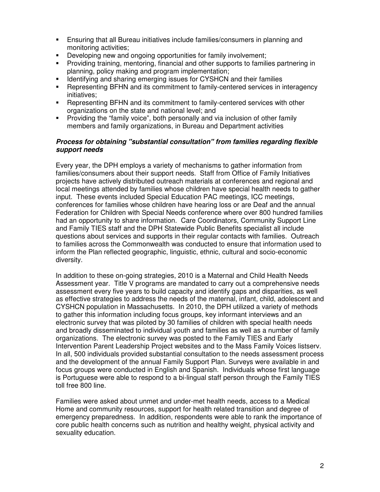- Ensuring that all Bureau initiatives include families/consumers in planning and monitoring activities;
- **Developing new and ongoing opportunities for family involvement:**
- Providing training, mentoring, financial and other supports to families partnering in planning, policy making and program implementation;
- **IDENTIFY 1** Identifying and sharing emerging issues for CYSHCN and their families
- Representing BFHN and its commitment to family-centered services in interagency initiatives;
- Representing BFHN and its commitment to family-centered services with other organizations on the state and national level; and
- Providing the "family voice", both personally and via inclusion of other family members and family organizations, in Bureau and Department activities

## **Process for obtaining "substantial consultation" from families regarding flexible support needs**

Every year, the DPH employs a variety of mechanisms to gather information from families/consumers about their support needs. Staff from Office of Family Initiatives projects have actively distributed outreach materials at conferences and regional and local meetings attended by families whose children have special health needs to gather input. These events included Special Education PAC meetings, ICC meetings, conferences for families whose children have hearing loss or are Deaf and the annual Federation for Children with Special Needs conference where over 800 hundred families had an opportunity to share information. Care Coordinators, Community Support Line and Family TIES staff and the DPH Statewide Public Benefits specialist all include questions about services and supports in their regular contacts with families. Outreach to families across the Commonwealth was conducted to ensure that information used to inform the Plan reflected geographic, linguistic, ethnic, cultural and socio-economic diversity.

In addition to these on-going strategies, 2010 is a Maternal and Child Health Needs Assessment year. Title V programs are mandated to carry out a comprehensive needs assessment every five years to build capacity and identify gaps and disparities, as well as effective strategies to address the needs of the maternal, infant, child, adolescent and CYSHCN population in Massachusetts. In 2010, the DPH utilized a variety of methods to gather this information including focus groups, key informant interviews and an electronic survey that was piloted by 30 families of children with special health needs and broadly disseminated to individual youth and families as well as a number of family organizations. The electronic survey was posted to the Family TIES and Early Intervention Parent Leadership Project websites and to the Mass Family Voices listserv. In all, 500 individuals provided substantial consultation to the needs assessment process and the development of the annual Family Support Plan. Surveys were available in and focus groups were conducted in English and Spanish. Individuals whose first language is Portuguese were able to respond to a bi-lingual staff person through the Family TIES toll free 800 line.

Families were asked about unmet and under-met health needs, access to a Medical Home and community resources, support for health related transition and degree of emergency preparedness. In addition, respondents were able to rank the importance of core public health concerns such as nutrition and healthy weight, physical activity and sexuality education.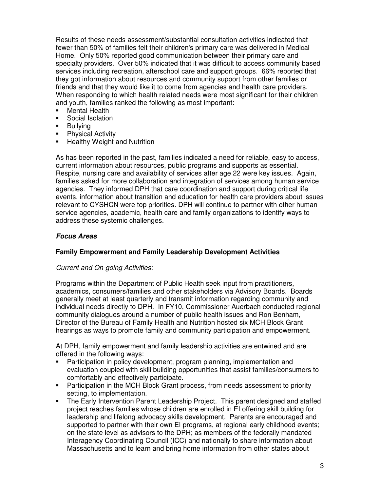Results of these needs assessment/substantial consultation activities indicated that fewer than 50% of families felt their children's primary care was delivered in Medical Home. Only 50% reported good communication between their primary care and specialty providers. Over 50% indicated that it was difficult to access community based services including recreation, afterschool care and support groups. 66% reported that they got information about resources and community support from other families or friends and that they would like it to come from agencies and health care providers. When responding to which health related needs were most significant for their children and youth, families ranked the following as most important:

- **Nental Health**
- Social Isolation
- **Bullving**
- **Physical Activity**
- **-** Healthy Weight and Nutrition

As has been reported in the past, families indicated a need for reliable, easy to access, current information about resources, public programs and supports as essential. Respite, nursing care and availability of services after age 22 were key issues. Again, families asked for more collaboration and integration of services among human service agencies. They informed DPH that care coordination and support during critical life events, information about transition and education for health care providers about issues relevant to CYSHCN were top priorities. DPH will continue to partner with other human service agencies, academic, health care and family organizations to identify ways to address these systemic challenges.

# **Focus Areas**

## **Family Empowerment and Family Leadership Development Activities**

## Current and On-going Activities:

Programs within the Department of Public Health seek input from practitioners, academics, consumers/families and other stakeholders via Advisory Boards. Boards generally meet at least quarterly and transmit information regarding community and individual needs directly to DPH. In FY10, Commissioner Auerbach conducted regional community dialogues around a number of public health issues and Ron Benham, Director of the Bureau of Family Health and Nutrition hosted six MCH Block Grant hearings as ways to promote family and community participation and empowerment.

At DPH, family empowerment and family leadership activities are entwined and are offered in the following ways:

- Participation in policy development, program planning, implementation and evaluation coupled with skill building opportunities that assist families/consumers to comfortably and effectively participate.
- Participation in the MCH Block Grant process, from needs assessment to priority setting, to implementation.
- The Early Intervention Parent Leadership Project. This parent designed and staffed project reaches families whose children are enrolled in EI offering skill building for leadership and lifelong advocacy skills development. Parents are encouraged and supported to partner with their own EI programs, at regional early childhood events; on the state level as advisors to the DPH; as members of the federally mandated Interagency Coordinating Council (ICC) and nationally to share information about Massachusetts and to learn and bring home information from other states about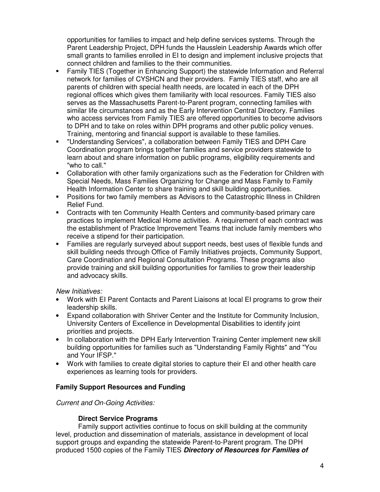opportunities for families to impact and help define services systems. Through the Parent Leadership Project, DPH funds the Hausslein Leadership Awards which offer small grants to families enrolled in EI to design and implement inclusive projects that connect children and families to the their communities.

- Family TIES (Together in Enhancing Support) the statewide Information and Referral network for families of CYSHCN and their providers. Family TIES staff, who are all parents of children with special health needs, are located in each of the DPH regional offices which gives them familiarity with local resources. Family TIES also serves as the Massachusetts Parent-to-Parent program, connecting families with similar life circumstances and as the Early Intervention Central Directory. Families who access services from Family TIES are offered opportunities to become advisors to DPH and to take on roles within DPH programs and other public policy venues. Training, mentoring and financial support is available to these families.
- "Understanding Services", a collaboration between Family TIES and DPH Care Coordination program brings together families and service providers statewide to learn about and share information on public programs, eligibility requirements and "who to call."
- Collaboration with other family organizations such as the Federation for Children with Special Needs, Mass Families Organizing for Change and Mass Family to Family Health Information Center to share training and skill building opportunities.
- Positions for two family members as Advisors to the Catastrophic Illness in Children Relief Fund.
- Contracts with ten Community Health Centers and community-based primary care practices to implement Medical Home activities. A requirement of each contract was the establishment of Practice Improvement Teams that include family members who receive a stipend for their participation.
- Families are regularly surveyed about support needs, best uses of flexible funds and skill building needs through Office of Family Initiatives projects, Community Support, Care Coordination and Regional Consultation Programs. These programs also provide training and skill building opportunities for families to grow their leadership and advocacy skills.

# New Initiatives:

- Work with EI Parent Contacts and Parent Liaisons at local EI programs to grow their leadership skills.
- Expand collaboration with Shriver Center and the Institute for Community Inclusion, University Centers of Excellence in Developmental Disabilities to identify joint priorities and projects.
- In collaboration with the DPH Early Intervention Training Center implement new skill building opportunities for families such as "Understanding Family Rights" and "You and Your IFSP."
- Work with families to create digital stories to capture their EI and other health care experiences as learning tools for providers.

# **Family Support Resources and Funding**

## Current and On-Going Activities:

## **Direct Service Programs**

Family support activities continue to focus on skill building at the community level, production and dissemination of materials, assistance in development of local support groups and expanding the statewide Parent-to-Parent program. The DPH produced 1500 copies of the Family TIES **Directory of Resources for Families of**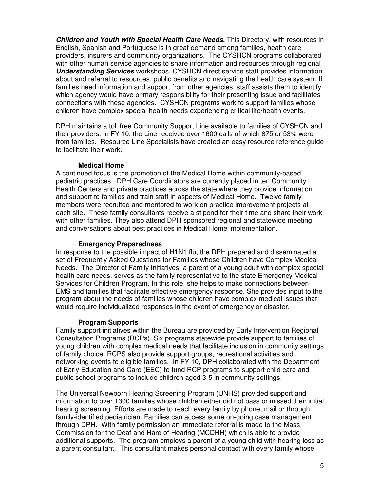**Children and Youth with Special Health Care Needs.** This Directory, with resources in English, Spanish and Portuguese is in great demand among families, health care providers, insurers and community organizations. The CYSHCN programs collaborated with other human service agencies to share information and resources through regional **Understanding Services** workshops. CYSHCN direct service staff provides information about and referral to resources, public benefits and navigating the health care system. If families need information and support from other agencies, staff assists them to identify which agency would have primary responsibility for their presenting issue and facilitates connections with these agencies. CYSHCN programs work to support families whose children have complex special health needs experiencing critical life/health events.

DPH maintains a toll free Community Support Line available to families of CYSHCN and their providers. In FY 10, the Line received over 1600 calls of which 875 or 53% were from families. Resource Line Specialists have created an easy resource reference guide to facilitate their work.

#### **Medical Home**

A continued focus is the promotion of the Medical Home within community-based pediatric practices. DPH Care Coordinators are currently placed in ten Community Health Centers and private practices across the state where they provide information and support to families and train staff in aspects of Medical Home. Twelve family members were recruited and mentored to work on practice improvement projects at each site. These family consultants receive a stipend for their time and share their work with other families. They also attend DPH sponsored regional and statewide meeting and conversations about best practices in Medical Home implementation.

#### **Emergency Preparedness**

In response to the possible impact of H1N1 flu, the DPH prepared and disseminated a set of Frequently Asked Questions for Families whose Children have Complex Medical Needs. The Director of Family Initiatives, a parent of a young adult with complex special health care needs, serves as the family representative to the state Emergency Medical Services for Children Program. In this role, she helps to make connections between EMS and families that facilitate effective emergency response. She provides input to the program about the needs of families whose children have complex medical issues that would require individualized responses in the event of emergency or disaster.

## **Program Supports**

Family support initiatives within the Bureau are provided by Early Intervention Regional Consultation Programs (RCPs). Six programs statewide provide support to families of young children with complex medical needs that facilitate inclusion in community settings of family choice. RCPS also provide support groups, recreational activities and networking events to eligible families. In FY 10, DPH collaborated with the Department of Early Education and Care (EEC) to fund RCP programs to support child care and public school programs to include children aged 3-5 in community settings.

The Universal Newborn Hearing Screening Program (UNHS) provided support and information to over 1300 families whose children either did not pass or missed their initial hearing screening. Efforts are made to reach every family by phone, mail or through family-identified pediatrician. Families can access some on-going case management through DPH. With family permission an immediate referral is made to the Mass Commission for the Deaf and Hard of Hearing (MCDHH) which is able to provide additional supports. The program employs a parent of a young child with hearing loss as a parent consultant. This consultant makes personal contact with every family whose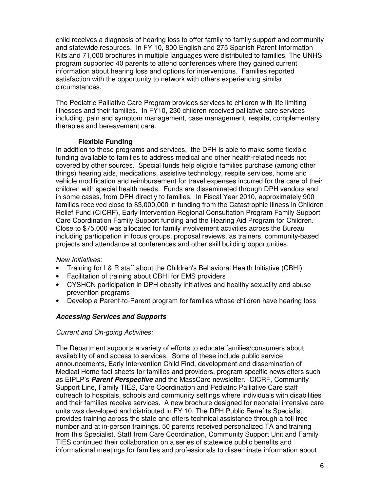child receives a diagnosis of hearing loss to offer family-to-family support and community and statewide resources. In FY 10, 800 English and 275 Spanish Parent Information Kits and 71,000 brochures in multiple languages were distributed to families. The UNHS program supported 40 parents to attend conferences where they gained current information about hearing loss and options for interventions. Families reported satisfaction with the opportunity to network with others experiencing similar circumstances.

The Pediatric Palliative Care Program provides services to children with life limiting illnesses and their families. In FY10, 230 children received palliative care services including, pain and symptom management, case management, respite, complementary therapies and bereavement care.

## **Flexible Funding**

In addition to these programs and services, the DPH is able to make some flexible funding available to families to address medical and other health-related needs not covered by other sources. Special funds help eligible families purchase (among other things) hearing aids, medications, assistive technology, respite services, home and vehicle modification and reimbursement for travel expenses incurred for the care of their children with special health needs. Funds are disseminated through DPH vendors and in some cases, from DPH directly to families. In Fiscal Year 2010, approximately 900 families received close to \$3,000,000 in funding from the Catastrophic Illness in Children Relief Fund (CICRF), Early Intervention Regional Consultation Program Family Support Care Coordination Family Support funding and the Hearing Aid Program for Children. Close to \$75,000 was allocated for family involvement activities across the Bureau including participation in focus groups, proposal reviews, as trainers, community-based projects and attendance at conferences and other skill building opportunities.

#### New Initiatives:

- Training for I & R staff about the Children's Behavioral Health Initiative (CBHI)
- Facilitation of training about CBHI for EMS providers
- CYSHCN participation in DPH obesity initiatives and healthy sexuality and abuse prevention programs
- Develop a Parent-to-Parent program for families whose children have hearing loss

## **Accessing Services and Supports**

#### Current and On-going Activities:

The Department supports a variety of efforts to educate families/consumers about availability of and access to services. Some of these include public service announcements, Early Intervention Child Find, development and dissemination of Medical Home fact sheets for families and providers, program specific newsletters such as EIPLP's **Parent Perspective** and the MassCare newsletter. CICRF, Community Support Line, Family TIES, Care Coordination and Pediatric Palliative Care staff outreach to hospitals, schools and community settings where individuals with disabilities and their families receive services. A new brochure designed for neonatal intensive care units was developed and distributed in FY 10. The DPH Public Benefits Specialist provides training across the state and offers technical assistance through a toll free number and at in-person trainings. 50 parents received personalized TA and training from this Specialist. Staff from Care Coordination, Community Support Unit and Family TIES continued their collaboration on a series of statewide public benefits and informational meetings for families and professionals to disseminate information about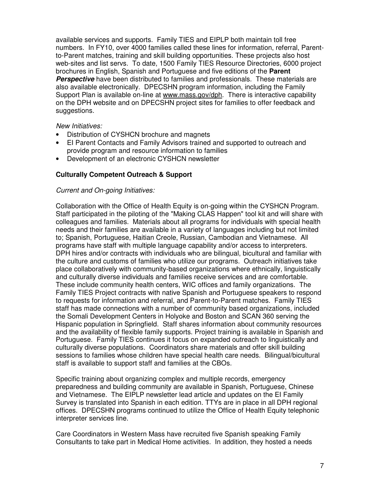available services and supports. Family TIES and EIPLP both maintain toll free numbers. In FY10, over 4000 families called these lines for information, referral, Parentto-Parent matches, training and skill building opportunities. These projects also host web-sites and list servs. To date, 1500 Family TIES Resource Directories, 6000 project brochures in English, Spanish and Portuguese and five editions of the **Parent Perspective** have been distributed to families and professionals. These materials are also available electronically. DPECSHN program information, including the Family Support Plan is available on-line at www.mass.gov/dph. There is interactive capability on the DPH website and on DPECSHN project sites for families to offer feedback and suggestions.

#### New Initiatives:

- Distribution of CYSHCN brochure and magnets
- EI Parent Contacts and Family Advisors trained and supported to outreach and provide program and resource information to families
- Development of an electronic CYSHCN newsletter

#### **Culturally Competent Outreach & Support**

#### Current and On-going Initiatives:

Collaboration with the Office of Health Equity is on-going within the CYSHCN Program. Staff participated in the piloting of the "Making CLAS Happen" tool kit and will share with colleagues and families. Materials about all programs for individuals with special health needs and their families are available in a variety of languages including but not limited to; Spanish, Portuguese, Haitian Creole, Russian, Cambodian and Vietnamese. All programs have staff with multiple language capability and/or access to interpreters. DPH hires and/or contracts with individuals who are bilingual, bicultural and familiar with the culture and customs of families who utilize our programs. Outreach initiatives take place collaboratively with community-based organizations where ethnically, linguistically and culturally diverse individuals and families receive services and are comfortable. These include community health centers, WIC offices and family organizations. The Family TIES Project contracts with native Spanish and Portuguese speakers to respond to requests for information and referral, and Parent-to-Parent matches. Family TIES staff has made connections with a number of community based organizations, included the Somali Development Centers in Holyoke and Boston and SCAN 360 serving the Hispanic population in Springfield. Staff shares information about community resources and the availability of flexible family supports. Project training is available in Spanish and Portuguese. Family TIES continues it focus on expanded outreach to linguistically and culturally diverse populations. Coordinators share materials and offer skill building sessions to families whose children have special health care needs. Bilingual/bicultural staff is available to support staff and families at the CBOs.

Specific training about organizing complex and multiple records, emergency preparedness and building community are available in Spanish, Portuguese, Chinese and Vietnamese. The EIPLP newsletter lead article and updates on the EI Family Survey is translated into Spanish in each edition. TTYs are in place in all DPH regional offices. DPECSHN programs continued to utilize the Office of Health Equity telephonic interpreter services line.

Care Coordinators in Western Mass have recruited five Spanish speaking Family Consultants to take part in Medical Home activities. In addition, they hosted a needs